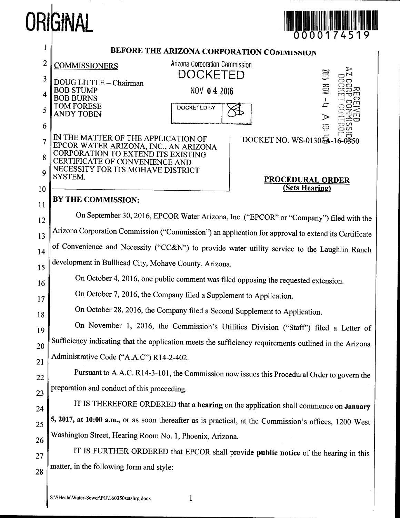# ORIGINAL



| l        | BEFORE THE ARIZONA CORPORATION COMMISSION                                                                    |
|----------|--------------------------------------------------------------------------------------------------------------|
| 2        | Arizona Corporation Commission<br><b>COMMISSIONERS</b>                                                       |
| 3        | gill<br>DOCKETED<br>DOUG LITTLE - Chairman                                                                   |
| 4        | E<br><b>BOB STUMP</b><br>NOV 04 2016<br><b>BOB BURNS</b>                                                     |
| 5        | TOM FORESE<br>上<br>DOCKETED BY<br><b>ANDY TOBIN</b><br>D                                                     |
| 6        | ద్                                                                                                           |
| 7        | IN THE MATTER OF THE APPLICATION OF<br>DOCKET NO. WS-01302A-16-0350<br>EPCOR WATER ARIZONA, INC., AN ARIZONA |
| 8        | CORPORATION TO EXTEND ITS EXISTING<br>RTIFICATE OF CONVENIENCE AND                                           |
| 9        | NECESSITY FOR ITS MOHAVE DISTRICT<br>SYSTEM.<br><b>PROCEDURAL ORDER</b>                                      |
| 10       | (Sets Hearing)<br>BY THE COMMISSION:                                                                         |
| 11       | On September 30, 2016, EPCOR Water Arizona, Inc. ("EPCOR" or "Company") filed with the                       |
| 12       | Arizona Corporation Commission ("Commission") an application for approval to extend its Certificate          |
| 13       | of Convenience and Necessity ("CC&N") to provide water utility service to the Laughlin Ranch                 |
| 14       | development in Bullhead City, Mohave County, Arizona.                                                        |
| 15       | On October 4, 2016, one public comment was filed opposing the requested extension.                           |
| 16       | On October 7, 2016, the Company filed a Supplement to Application.                                           |
| 17       | On October 28, 2016, the Company filed a Second Supplement to Application.                                   |
| 18       | On November 1, 2016, the Commission's Utilities Division ("Staff") filed a Letter of                         |
| 19<br>20 | Sufficiency indicating that the application meets the sufficiency requirements outlined in the Arizona       |
| 21       | Administrative Code ("A.A.C") R14-2-402.                                                                     |
| 22       | Pursuant to A.A.C. R14-3-101, the Commission now issues this Procedural Order to govern the                  |
| 23       | preparation and conduct of this proceeding.                                                                  |
| 24       | IT IS THEREFORE ORDERED that a hearing on the application shall commence on January                          |
| 25       | 5, 2017, at 10:00 a.m., or as soon thereafter as is practical, at the Commission's offices, 1200 West        |
| 26       | Washington Street, Hearing Room No. 1, Phoenix, Arizona.                                                     |
| 27       | IT IS FURTHER ORDERED that EPCOR shall provide public notice of the hearing in this                          |
| 28       | matter, in the following form and style:                                                                     |
|          |                                                                                                              |

 $\mathbf{1}$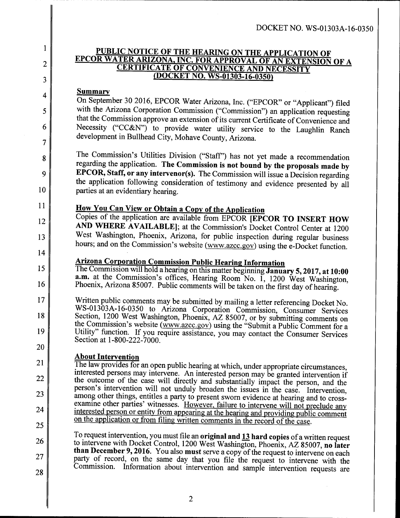## <sup>1</sup> PUBLIC NOTICE OF THE HEARING ON THE APPLICATION OF EPCOR WATER ARIZONA, INC. FOR APPROVAL OF AN EXTENSION OF A CERTIFICATE OF CONVENIENCE AND NECESSITY (DOCKET NO. WS-01303-16-0350)

### **Summary**

2

3

4

5

6

7

8

9

10

11

12

13

14

15

16

17

18

19

20

21

22

23

24

25

On September 30 2016, EPCOR Water Arizona, Inc. ("EPCOR" or "Applicant") filed with the Arizona Corporation Commission ("Commission") an application requesting that the Commission approve an extension of its current Certificate of Convenience and Necessity ("CC&N") to provide water utility service to the Laughlin Ranch development in Bullhead City, Mohave County, Arizona.

The Commission's Utilities Division ("Staff") has not yet made a recommendation regarding the application. The Commission is not bound by the proposals made by EPCOR, Staff, or any intervenor(s). The Commission will issue a Decision regarding the application following consideration of testimony and evidence presented by all parties at an evidentiary hearing.

# How You Can View or Obtain a Copy of the Application

Copies of the application are available from EPCOR [EPCOR TO INSERT HOW AND WHERE AVAILABLE]; at the Commission's Docket Control Center at 1200 West Washington, Phoenix, Arizona, for public inspection during regular business hours; and on the Commission's website (www.azcc.gov) using the e-Docket function.

## Arizona Corporation Commission Public Hearing Information

The Commission will hold a hearing on this matter beginning January 5, 2017, at 10:00 a.m. at the Commission's offices, Hearing Room No. I, 1200 West Washington, Phoenix, Arizona 85007. Public comments will be taken on the first day of hearing.

Written public comments may be submitted by mailing a letter referencing Docket No. WS-01303A-16-0350 to Arizona Corporation Commission, Consumer Services Section, 1200 West Washington, Phoenix, AZ 85007, or by submitting comments on the Commission's website (Www.azcc.gov) using the "Submit a Public Comment for a Utility" function. If you require assistance, you may contact the Consumer Services Section at 1-800-222-7000.

### **About Intervention**

The law provides for an open public hearing at which, under appropriate circumstances, interested persons may intervene. An interested person may be granted intervention if the outcome of the case will directly and substantially impact the person, and the person's intervention will not unduly broaden the issues in the case. Intervention, among other things, entitles a party to present sworn evidence at hearing and to crossexamine other parties' witnesses. However, failure to intervene will not preclude any interested person or entity from appearing at the hearing and providing public comment on the application or from filing written comments in the record of the case.

26 27 28 To request intervention, you must file an original and  $13$  hard copies of a written request to intervene with Docket Control, 1200 West Washington, Phoenix, AZ 85007, no later than December 9, 2016. You also must serve a copy of the request to intervene on each party of record, on the same day that you file the request to intervene with the Commission. Information about intervention and sample intervention requests are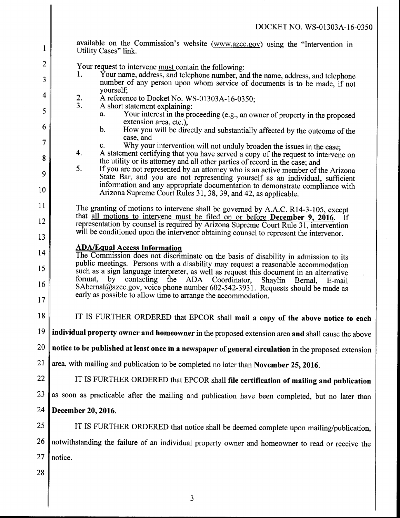available on the Commission's website (www.azcc.gov) using the "Intervention in Utility Cases" link. 2. 3. 4. 5. Your request to intervene  $\frac{must}{dt}$  contain the following:<br>1. Your name, address, and telephone number, and Your name, address, and telephone number, and the name, address, and telephone number of any person upon whom service of documents is to be made, if not vourself: A reference to Docket No. WS-01303A-16-0350, A short statement explaining: a. Your interest in the proceeding (e.g., an owner of property in the proposed extension area, etc.), b. How you will be directly and substantially affected by the outcome of the case, and c. Why your intervention will not unduly broaden the issues in the case, A statement certifying that you have served a copy of the request to intervene on the utility or its attorney and all other parties of record in the case, and If you are not represented by an attorney who is an active member of the Arizona State Bar, and you are not representing yourself as an individual, sufficient information and any appropriate documentation to demonstrate compliance with Arizona Supreme Court Rules 31, 38, 39, and 42, as applicable. The granting of motions to intervene shall be governed by A.A.C. R14-3~105, except that all motions to intervene must be filed on or before **December 9, 2016.** If representation by counsel is required by Arizona Supreme Court Rule 31, intervention will be conditioned upon the intervenor obtaining counsel to represent the intervenor. 1 2 3 4 5 6 7 8 9 10 11 12 13 14 15 16 17 18 IT IS FURTHER ORDERED that EPCOR shall mail a copy of the above notice to each  $19$  individual property owner and homeowner in the proposed extension area and shall cause the above  $20 \parallel$  notice to be published at least once in a newspaper of general circulation in the proposed extension 21 area, with mailing and publication to be completed no later than November 25, 2016.  $22$   $\parallel$  IT IS FURTHER ORDERED that EPCOR shall file certification of mailing and publication  $23$  as soon as practicable after the mailing and publication have been completed, but no later than 24 December 20, 2016. 25  $\parallel$  IT IS FURTHER ORDERED that notice shall be deemed complete upon mailing/publication,  $26$  notwithstanding the failure of an individual property owner and homeowner to read or receive the  $27$  notice. 28 ADA/Equal Access Information The Commission does not discriminate on the basis of disability in admission to its public meetings. Persons with a disability may request a reasonable accommodation such as a sign language interpreter, as well as request this document in an alternative format, by contacting the ADA Coordinator, Shaylin Bernal, E-mail SAbernal@azcc.gov, voice phone number 602-542-3931. Requests should be made as early as possible to allow time to arrange the accommodation.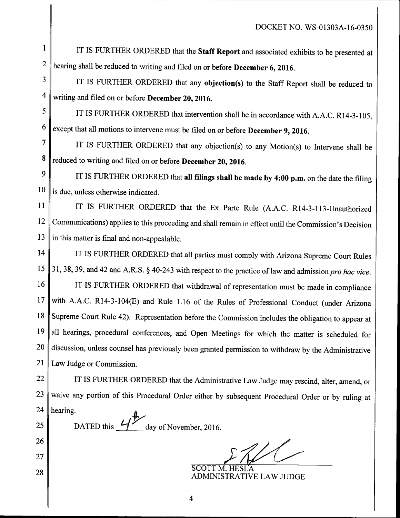$1 \parallel$  IT IS FURTHER ORDERED that the **Staff Report** and associated exhibits to be presented at  $2 \parallel$  hearing shall be reduced to writing and filed on or before **December 6, 2016**.

 $3 \parallel$  IT IS FURTHER ORDERED that any objection(s) to the Staff Report shall be reduced to  $4 \parallel$  writing and filed on or before **December 20, 2016.** 

 $5 \parallel$  IT IS FURTHER ORDERED that intervention shall be in accordance with A.A.C. R14-3-105,  $6 \parallel$  except that all motions to intervene must be filed on or before **December 9, 2016**.

7 IT IS FURTHER ORDERED that any objection(s) to any Motion(s) to Intervene shall be  $8 \parallel$  reduced to writing and filed on or before **December 20, 2016**.

 $9 \parallel$  IT IS FURTHER ORDERED that all filings shall be made by 4:00 p.m. on the date the filing  $10 \parallel$  is due, unless otherwise indicated.

11 | IT IS FURTHER ORDERED that the Ex Parte Rule (A.A.C. R14-3-113-Unauthorized 12 Communications) applies to this proceeding and shall remain in effect until the Commission's Decision 13  $\parallel$  in this matter is final and non-appealable.

14 IT IS FURTHER ORDERED that all parties must comply with Arizona Supreme Court Rules 15 31, 38, 39, and 42 and A.R.S. § 40-243 with respect to the practice of law and admission pro hac vice.

16 IT IS FURTHER ORDERED that withdrawal of representation must be made in compliance 17 with A.A.C. R14-3-104(E) and Rule 1.16 of the Rules of Professional Conduct (under Arizona 18 Supreme Court Rule 42). Representation before the Commission includes the obligation to appear at 19 all hearings, procedural conferences, and Open Meetings for which the matter is scheduled for  $20$  discussion, unless counsel has previously been granted permission to withdraw by the Administrative 21 | Law Judge or Commission.

22  $\parallel$  IT IS FURTHER ORDERED that the Administrative Law Judge may rescind, alter, amend, or  $23$  waive any portion of this Procedural Order either by subsequent Procedural Order or by ruling at 24 | hearing. 24 hearing.<br>25 DATED this  $4$ 

26

27

28

day of November, 2016.

SCOTT M. HESL'A ADMINISTRATIVE LAW JUDGE